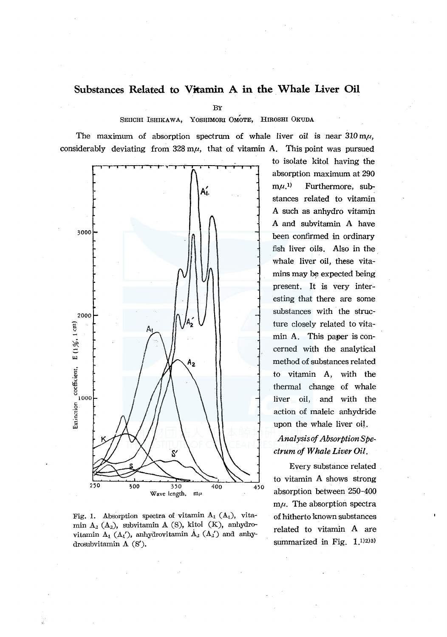# **Substances Related to Vitamin A in the Whale Liver Oil**

BY

SEIICHI ISHIKAWA, YOSHIMORI OMOTE, HIROSHI OKUDA

The maximum of absorption spectrum of whale liver oil is near  $310 \text{ m}\mu$ , considerably deviating from  $328 \text{ m}\mu$ , that of vitamin A. This point was pursued



Fig. 1. Absorption spectra of vitamin  $A_1(A_1)$ , vitamin  $A_2$  ( $A_2$ ), subvitamin A (S), kitol (K), anhydrovitamin  $A_1$  ( $A_1'$ ), anhydrovitamin  $A_2$  ( $A_2'$ ) and anhydrosubvitamin A (S').

to isolate kitol having the absorption maximum at 290  $m\mu$ .<sup>1)</sup> Furthermore, substances related to vitamin A such as anhydro vitamin A and subvitamin A have been confirmed in ordinary fish liver oils. Also in the whale liver oil, these vitamins may be expected being present. It is very interesting that there are some substances with the structure closely related to vitamin A. This paper is concerned with the analytical method of substances related to vitamin A, with the thermal change of whale liver oil, and with the action of maleic anhydride upon the whale liver oil.

# *Analysis of Absorption Spectrum of Whale Liver Oil.*

Every substance related to vitamin A shows strong absorption between 250-400  $m\mu$ . The absorption spectra of hitherto known substances related to vitamin A are summarized in Fig. 1.1)2)3)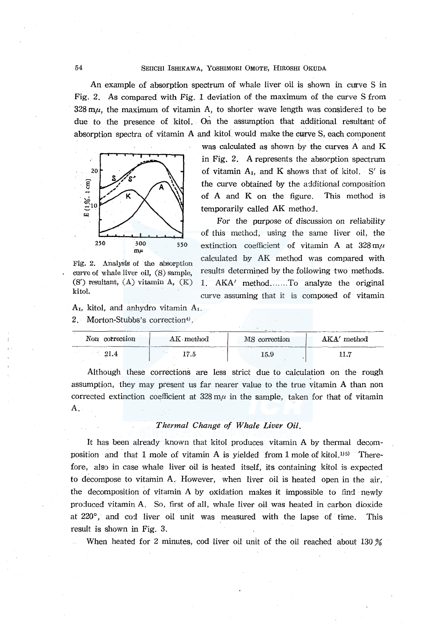An example of absorption spectrum of whale liver oil is shown in curve S in Fig. 2. As compared with Fig. I deviation of the maximum of the curve S from  $328 \text{ m}\mu$ , the maximum of vitamin A, to shorter wave length was considered to be due to the presence of kitol. On the assumption that additional resultant of absorption spectra of vitamin A and kitol would make the curve S, each component



Fig. 2. Analysis of the absorption curve of whale liver oil, (S) sample,  $(S')$  resultant,  $(A)$  vitamin A,  $(K)$ kitol.

 $A_1$ , kitol, and anhydro vitamin  $A_1$ .

2. Morton-Stubbs's correction<sup>4)</sup>.

was calculated as shown by the curves A and K in Fig. 2. A represents the absorption spectrum of vitamin  $A_1$ , and K shows that of kitol. S' is the curve obtained by the additional composition of A and K on the figure. This method is temporarily called AK method.

For the purpose of discussion on reliability of this method, using the same liver oil, the extinction coefficient of vitamin A at  $328 \text{ m}\mu$ calculated by AK method was compared with results determined by the following two methods. 1. AKA' method....... To analyze the original curve assuming that it is composed of vitamin

| 10.00<br>$\rm Non$ | correction | $\rm AK\cdot method$ | MS correction | A K A '<br>method |
|--------------------|------------|----------------------|---------------|-------------------|
|                    | -21.4      | コケト<br>- - - -       | 15.9          | 11.7              |

Although these corrections are less strict due to calculation on the rough assumption, they may present us far nearer value to the true vitamin A than non corrected extinction coefficient at  $328 \text{ m}\mu$  in the sample, taken for that of vitamin A.

## *Thermal Change of Whale Liver Oil.*

It has been already known that kitol produces vitamin A by thermal decomposition and that 1 mole of vitamin A is yielded from 1 mole of kitol.<sup>135</sup> Therefore, also in case whale liver oil is heated itself, its containing kitol is expected to decompose to vitamin A. However, when liver oil is heated open in the air, the decomposition of vitamin A by oxidation makes it impossible to find newl\_y produced vitamin A. So, first of all, whale liver oil was heated in carbon dioxide at 220°, and co1 liver oil unit was measured with the lapse of time. This result is shown in Fig. 3.

When heated for 2 minutes, cod liver oil unit of the oil reached about 130 %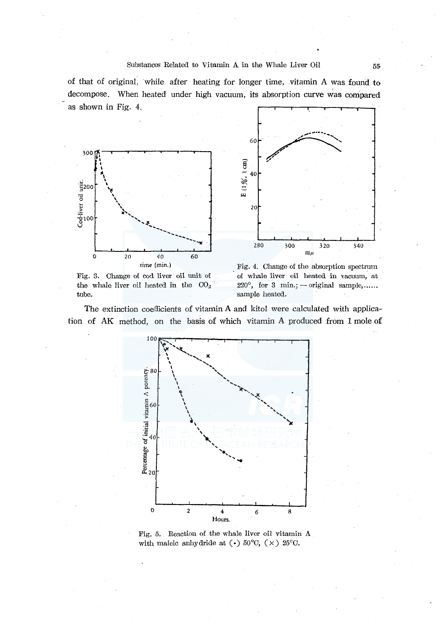#### Substances Related to Vitamin A in the Whale Liver Oil 55

of that of original, while after heating for longer time, vitamin A was found to decompose. When heated under high vacuum, its absorption curve was compared as shown in Fig. 4.



Fig. 3. Change of cod liver oil unit of the whale liver oil heated in the  $CO<sub>2</sub>$ tube.



The extinction coefficients of vitamin A and kitol were calculated with application of AK method, on the basis of which vitamin A produced from I mole of



Fig. 5. Reaction of the whale liver oil vitamin A with maleic anhydride at  $\left(\cdot\right)$  50°C,  $\left(\times\right)$  25°C.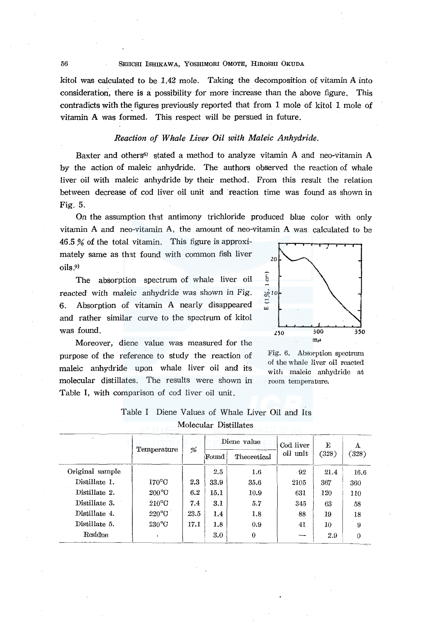#### 56 SEIICHI ISHIKAWA, YOSHIMORI 0MOTE, HIROSHI OKUDA

kitol was calculated to be 1.42 mole. Taking the decomposition of vitamin A into consideration, there is a possibility for more increase than the above figure. This contradicts with the figures previously reported that from 1 mole of kitol 1 mole of vitamin A was formed. This respect will be persued in future.

## *Reaction of Whale Liver Oil with Maleic Anhydride.*

Baxter and others<sup>6</sup> stated a method to analyze vitamin A and neo-vitamin A by the action of maleic anhydride. The authors observed the reaction of whale liver oil with maleic anhydride by their method. From this result the relation between decrease of cod liver oil unit and reaction time was found as shown in Fig. 5.

On the assumption that antimony trichloride produced blue color with only vitamin A and neo-vitamin A, the amount of neo-vitamin A was calculated to be

46.5 % of the total vitamin. This figure is approximately same as that found with common fish liver oils.<sup>9)</sup>

The absorption spectrum of whale liver oil reacted with maleic anhydride was shown in Fig. 6. Absorption of vitamin A nearly disappeared and rather similar curve to the spectrum of kitol was found.



Moreover, diene value was measured for the purpose of the reference to study the reaction of maleic anhydride upon whale liver oil and its molecular distillates. The results were shown in Table I, with comparison of cod liver oil unit.

Fig. 6. Absorption spectrum of the whale liver oil reacted with maleic anhydride at room temperature.

|                 | Temperature     | %    | Diene value |             | Cod liver | Е     | Α     |  |  |
|-----------------|-----------------|------|-------------|-------------|-----------|-------|-------|--|--|
|                 |                 |      | Found       | Theoretical | oil unit  | (328) | (328) |  |  |
| Original sample |                 |      | 2.5         | 1.6         | $-92$     | 21.4  | 16.6  |  |  |
| Distillate 1.   | $170^{\circ}$ C | 2.3  | 33.9        | 35.6        | 2105      | 367   | 360   |  |  |
| Distillate 2.   | $200^{\circ}$ C | 6.2  | 15.1        | 10.9        | 631       | 120   | 110   |  |  |
| Distillate 3.   | $210^{\circ}$ C | 7.4  | 3.1         | 5.7         | 345       | 63    | 58    |  |  |
| Distillate 4.   | $220^{\circ}$ C | 23.5 | 1.4         | 1.8         | 88        | 19    | 18    |  |  |
| Distillate 5.   | $230^{\circ}$ C | 17.1 | 1.8         | 0.9         | 41        | 10    | 9     |  |  |
| Residue         |                 |      | $3.0\,$     | 0           | ---       | 2.9   | 0     |  |  |

# Table I Diene Values of Whale Liver Oil and Its Molecular Distillates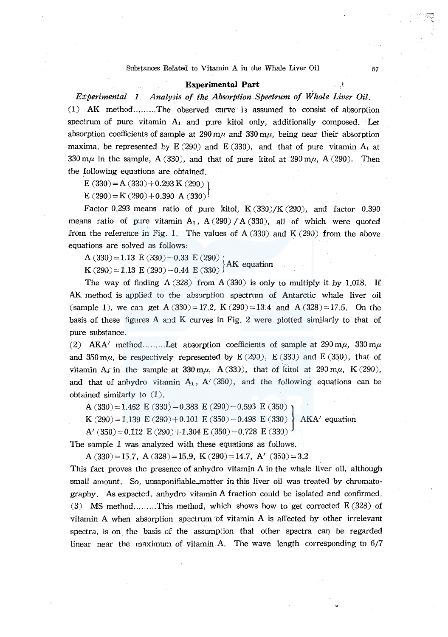#### Substances Related to Vitamin  $\Lambda$  in the Whale Liver Oil  $57$

#### **Experimental Part .**•• **.**•• **.**•• **.**•• **.**•• **.**•• **.**•• **.**•• **.**•• **.**•• **.**•• **.**•• **.**•• **.**•• **.**•• **.**•• **.**•• **.**•• **.**•• **.**•• **.**•• **.**•• **.**•• **.**•• **.**•• **.**•• **.**•• **.**•• **.**•• **.**•• **.**•• **.**•• **.**•• **.**•

*Experimental 1. Ana/y3is of the Absorption Spectrum of Whale Liver Oil.*  (1) AK method ......... The observed curve i3 assumed to consist of absorption spectrum of pure vitamin  $A_1$  and pure kitol only, additionally composed. Let absorption coefficients of sample at  $290 \text{ m}\mu$  and  $330 \text{ m}\mu$ , being near their absorption maxima, be represented by  $E(290)$  and  $E(330)$ , and that of pure vitamin  $A_1$  at 330  $m\mu$  in the sample, A (330), and that of pure kitol at  $290 m\mu$ , A (290). Then the following equations are obtained.

 $E(330)=A(330)+0.293 K(290)$ 

 $E(290)=K(290)+0.390 A(330)$ <sup>!</sup>

Factor 0.293 means ratio of pure kitol,  $K(330)/K(290)$ , and factor 0.390 means ratio of pure vitamin  $A_1$ ,  $A(290) / A(330)$ , all of which were quoted from the reference in Fig. 1. The values of  $A(330)$  and  $K(290)$  from the above equations are solved as follows:

A (330)=1.13 E (330)-0.33 E (290)<br>K (290)=1.13 E (290)-0.44 E (330)<sup>}</sup>AK equation

The way of finding A (328) from A (330) is only to multiply it *by* 1.018. If AK method is applied to the absorption spectrum of Antarctic whale liver oil (sample 1), we can get A(330)=17.2, K(290)=13.4 and A(328)=17.5. On the basis of these figures A and K curves in Fig. 2 were plotted similarly to that of pure substance.

(2) AKA' method .......... Let absorption coefficients of sample at  $290 \text{ m}\mu$ ,  $330 \text{ m}\mu$ and  $350 \text{ m}\mu$ , be respectively represented by E (290), E (330) and E (350), that of vitamin A<sub>i</sub> in the sample at 330 m $\mu$ , A (330), that of kitol at 290 m $\mu$ , K (290), and that of anhydro vitamin  $A_1$ , A' (350), and the following equations can be obtained similarly to (1).

A (330)=1.452 E (330)-0.383 E (290)-0.593 E (350)<br>K (290)=1.139 E (290)+0.101 E (350)-0.498 E (330) AKA' equation K (290) = 1.139 E (290) + 0.101 E (350) - 0.498 E (330)

A'  $(350)=0.112$  E  $(290)+1.304$  E  $(350)-0.728$  E  $(330)$ 

The sample 1 was analyzed with these equations as follows.

A  $(330) = 15.7$ , A  $(328) = 15.9$ , K  $(290) = 14.7$ , A'  $(350) = 3.2$ 

This fact proves the presence of anhydro vitamin A in the whale liver oil, although small amount. So, unsaponifiable\_matter in this liver oil was treated by chromatography. As expected, anhydro vitamin A fraction could be isolated and confirmed. (3) MS method.........This method, which shows how to get corrected  $E(328)$  of vitamin A when absorption spectrum 'of vitamin A is affected by other irrelevant spectra, is on the basis of the assumption that other spectra can be regarded linear near the maximum of vitamin A. The wave length corresponding to 6/7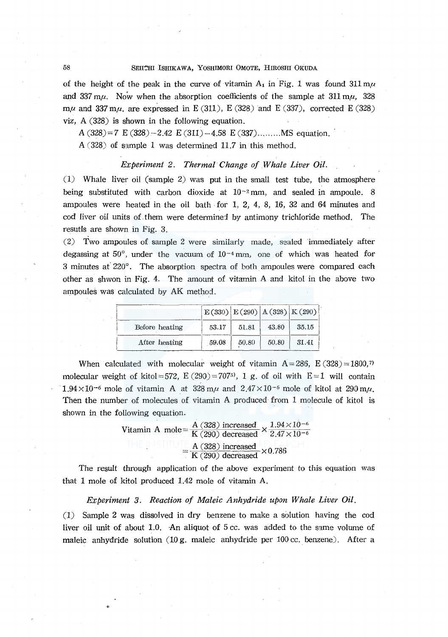#### 58 SEIICHI ISHIKAWA, YOSHIMORI OMOTE, HIROSHI OKUDA

of the height of the peak in the curve of vitamin  $A_1$  in Fig. 1 was found 311  $m\mu$ and 337  $m\mu$ . Now when the absorption coefficients of the sample at 311  $m\mu$ , 328 m $\mu$  and 337 m $\mu$ , are expressed in E (311), E (328) and E (337), corrected E (328) viz, A (328) is shown in the following equation.

A  $(328)=7$  E  $(328)-2.42$  E  $(311)-4.58$  E  $(337)$ ......... MS equation.

A (328) of sample 1 was determined 11.7 in this method.

## *Experiment 2. Thermal Change of Whale Liver Oil.*

(1) Whale liver oil (sample 2) was put in the small test tube, the atmosphere being substituted with carbon dioxide at  $10^{-2}$  mm, and sealed in ampoule. 8 ampoules were heated in the oil bath· for l, 2, 4, 8, 16, 32 and 64 minutes and cod liver oil units of them were determined by antimony trichloride method. The resutls are shown in Fig. 3.

(2) Two ampoules of sample 2 were similarly made, sealed immediately after degassing at  $50^{\circ}$ , under the vacuum of  $10^{-4}$  mm, one of which was heated for 3 minutes at' 220°. The absorption spectra of both ampoules were compared each other as shwon in Fig. 4. The amount of vitamin A and kitol in the above two ampoules was calculated by AK method.

|                | $E(330)$ $E(290)$ $A(328)$ $K(290)$ |          |       |       |
|----------------|-------------------------------------|----------|-------|-------|
| Before heating | 53.17                               | 51.81    | 43.80 | 35.15 |
| After heating  | 59.08                               | $-50.80$ | 50.80 | 31.41 |

When calculated with molecular weight of vitamin  $A = 286$ , E (328) = 1800,7 molecular weight of kitol=572,  $E(290) = 7075$ , 1 g, of oil with  $E=1$  will contain  $1.94 \times 10^{-6}$  mole of vitamin A at 328 m<sub>l</sub> and  $2.47 \times 10^{-6}$  mole of kitol at 290 m<sub>l</sub>. Then the number of molecules of vitamin A produced from 1 molecule of kitol is shown in the following equation.

> $A$  (328) increased  $\sqrt{1.94 \times 10^{-6}}$ Vitamin A mole =  $\overline{K(290)}$  decreased  $\times$  2.47 $\times$ 10<sup>-6</sup>  $\frac{\text{A} (328)}{\text{K} (290)}$  decreased  $\times 0.786$

The result through application of the above experiment *to* this equation was that 1 mole of kitol produced 1.42 mole of vitamin A.

#### *Experiment 3. Reaction of Maleic Anhydride upon Whale Liver Oil.*

(1) Sample 2 was dissolved in dry benzene to make a solution having the cod liver oil unit of about 1.0. An aliquot of 5 cc. was added to the same volume of maleic anhydride solution  $(10 g)$ . maleic anhydride per 100 cc. benzene). After a